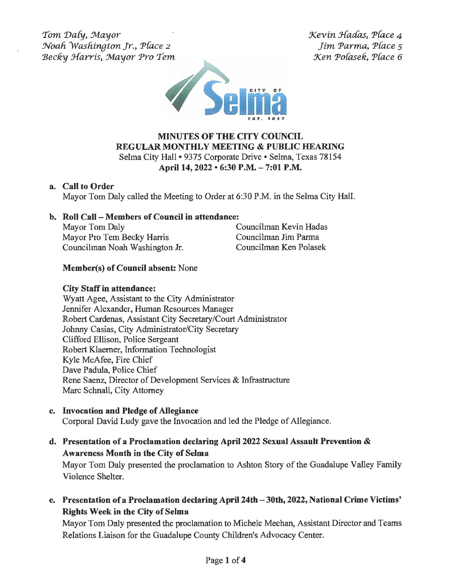Tom Daly, Mayor Noah Washington Jr., Place 2 Becky Harris, Mayor Pro Tem Kevin Hadas, Place 4 Jim Parma, P{ace *<sup>s</sup>* Xen Pofasek, P{ace 6



# **MINUTES OF THE CITY COUNCIL REGULAR MONTHLY MEETING & PUBLIC HEARING**  Selma City Hall• 9375 Corporate Drive• Selma, Texas 78154

# **April 14, 2022 • 6:30 P.M. - 7:01 P.M.**

### **a. Call to Order**

Mayor Tom Daly called the Meeting to Order at 6:30 P.M. in the Selma City Hall.

# **b. Roll Call - Members of Council in attendance:**

Mayor Tom Daly Councilman Kevin Hadas Mayor Pro Tern Becky Harris Councilman Jim Parma Councilman Noah Washington Jr. Councilman Ken Polasek

# **Member(s) of Council absent:** None

# **City Staff in attendance:**

Wyatt Agee, Assistant to the City Administrator Jennifer Alexander, Human Resources Manager Robert Cardenas, Assistant City Secretary/Court Administrator Johnny Casias, City Administrator/City Secretary Clifford Ellison, Police Sergeant Robert Klaerner, Information Technologist Kyle McAfee, Fire Chief Dave Padula, Police Chief Rene Saenz, Director of Development Services & Infrastructure Marc Schnall, City Attorney

**c. Invocation and Pledge of Allegiance** 

Corporal David Ludy gave the Invocation and led the Pledge of Allegiance.

**d. Presentation of a Proclamation declaring April 2022 Sexual Assault Prevention** & **Awareness Month in the City of Selma** 

Mayor Tom Daly presented the proclamation to Ashton Story of the Guadalupe Valley Family Violence Shelter.

**e. Presentation of a Proclamation declaring April 24th-30th, 2022, National Crime Victims' Rights Week in the City of Selma** 

Mayor Tom Daly presented the proclamation to Michele Meehan, Assistant Director and Teams Relations Liaison for the Guadalupe County Children's Advocacy Center.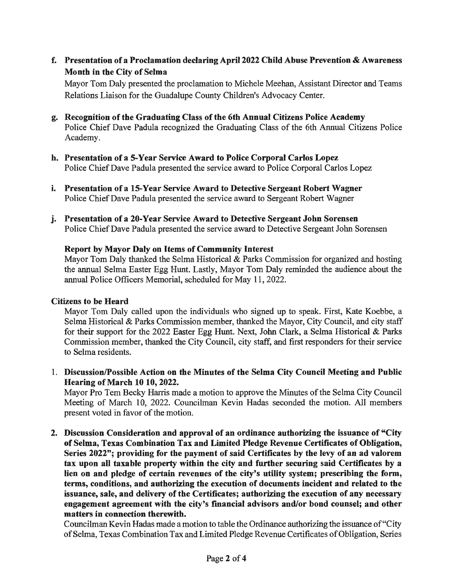**f. Presentation of a Proclamation declaring April 2022 Child Abuse Prevention** & **Awareness Month in the City of Selma** 

Mayor Tom Daly presented the proclamation to Michele Meehan, Assistant Director and Teams Relations Liaison for the Guadalupe County Children's Advocacy Center.

- **g. Recognition of the Graduating Class of the 6th Annual Citizens Police Academy**  Police Chief Dave Padula recognized the Graduating Class of the 6th Annual Citizens Police Academy.
- **h. Presentation of a 5-Year Service Award to Police Corporal Carlos Lopez**  Police Chief Dave Padula presented the service award to Police Corporal Carlos Lopez
- i. **Presentation of a 15-Year Service Award to Detective Sergeant Robert Wagner**  Police Chief Dave Padula presented the service award to Sergeant Robert Wagner
- **j. Presentation of a 20-Year Service Award to Detective Sergeant John Sorensen**  Police Chief Dave Padula presented the service award to Detective Sergeant John Sorensen

### **Report by Mayor Daly on Items of Community Interest**

Mayor Tom Daly thanked the Selma Historical & Parks Commission for organized and hosting the annual Selma Easter Egg Hunt. Lastly, Mayor Tom Daly reminded the audience about the annual Police Officers Memorial, scheduled for May 11, 2022.

### **Citizens to be Heard**

Mayor Tom Daly called upon the individuals who signed up to speak. First, Kate Koebbe, a Selma Historical & Parks Commission member, thanked the Mayor, City Council, and city staff for their support for the 2022 Easter Egg Hunt. Next, John Clark, a Selma Historical & Parks Commission member, thanked the City Council, city staff, and first responders for their service to Selma residents.

1. **Discussion/Possible Action on the Minutes of the Selma City Council Meeting and Public Hearing of March 10 10, 2022.** 

Mayor Pro Tern Becky Harris made a motion to approve the Minutes of the Selma City Council Meeting of March 10, 2022. Councilman Kevin Hadas seconded the motion. All members present voted in favor of the motion.

**2. Discussion Consideration and approval of an ordinance authorizing the issuance of "City of Selma, Texas Combination Tax and Limited Pledge Revenue Certificates of Obligation, Series 2022"; providing for the payment of said Certificates by the levy of an ad valorem tax upon all taxable property within the city and further securing said Certificates by a lien on and pledge of certain revenues of the city's utility system; prescribing the form, terms, conditions, and authorizing the execution of documents incident and related to the issuance, sale, and delivery of the Certificates; authorizing the execution of any necessary**  engagement agreement with the city's financial advisors and/or bond counsel; and other **matters in connection therewith.** 

Councilman Kevin Hadas made a motion to table the Ordinance authorizing the issuance of "City of Selma, Texas Combination Tax and Limited Pledge Revenue Certificates of Obligation, Series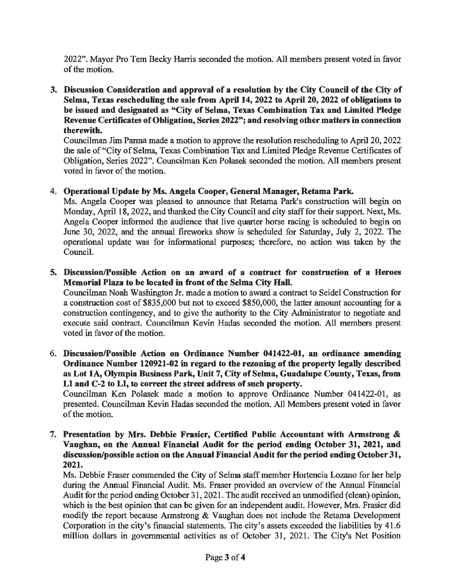2022". Mayor Pro Tern Becky Harris seconded the motion. All members present voted in favor of the motion.

**3. Discussion Consideration and approval of a resolution by the City Council of the City of Selma, Texas rescheduling the sale from April 14, 2022 to April 20, 2022 of obligations to be issued and designated as "City of Selma, Texas Combination Tax and Limited Pledge**  Revenue Certificates of Obligation, Series 2022"; and resolving other matters in connection **therewith.** 

Councilman Jim Parma made a motion to approve the resolution rescheduling to April 20, 2022 the sale of"City of Selma, Texas Combination Tax and Limited Pledge Revenue Certificates of Obligation, Series 2022". Councilman Ken Polasek seconded the motion. All members present voted in favor of the motion.

#### 4. **Operational Update by Ms. Angela Cooper, General Manager, Retama Park.**

Ms. Angela Cooper was pleased to announce that Retama Park's construction will begin on Monday, April 18, 2022, and thanked the City Council and city staff for their support. Next, Ms. Angela Cooper informed the audience that live quarter horse racing is scheduled to begin on June 30, 2022, and the annual fireworks show is scheduled for Saturday, July 2, 2022. The operational update was for informational purposes; therefore, no action was taken by the Council.

**5. Discussion/Possible Action on an award of a contract for construction of a Heroes Memorial Plaza to be located** in **front of the Selma City Hall.** 

Councilman Noah Washington Jr. made a motion to award a contract to Seidel Construction for a construction cost of \$835,000 but not to exceed \$850,000, the latter amount accounting for a construction contingency, and to give the authority to the City Administrator to negotiate and execute said contract. Councilman Kevin Hadas seconded the motion. All members present voted in favor of the motion.

6. **Discussion/Possible Action on Ordinance Number 041422-01, an ordinance amending**  Ordinance Number 120921-02 in regard to the rezoning of the property legally described **as Lot 1A, Olympia Business Park, Unit** 7, **City of Selma, Guadalupe County, Texas, from LI and C-2 to LI, to correct the street address of such property.** 

Councilman Ken Polasek made a motion to approve Ordinance Number 041422-01, as presented. Councilman Kevin Hadas seconded the motion. All Members present voted in favor of the motion.

7. **Presentation by Mrs. Debbie Frasier, Certified Public Accountant with Armstrong** & **Vaughan, on the Annual Financial Audit for the period ending October 31, 2021, and discussion/possible action on the Annual Financial Audit for the period ending October 31, 2021.** 

Ms. Debbie Fraser commended the City of Selma staff member Hortencia Lozano for her help during the Annual Financial Audit. Ms. Fraser provided an overview of the Annual Financial Audit for the period ending October 31, 2021. The audit received an unmodified (clean) opinion, which is the best opinion that can be given for an independent audit. However, Mrs. Frasier did modify the report because Armstrong & Vaughan does not include the Retarna Development Corporation in the city's financial statements. The city's assets exceeded the liabilities by 41.6 million dollars in governmental activities as of October 31, 2021. The City's Net Position